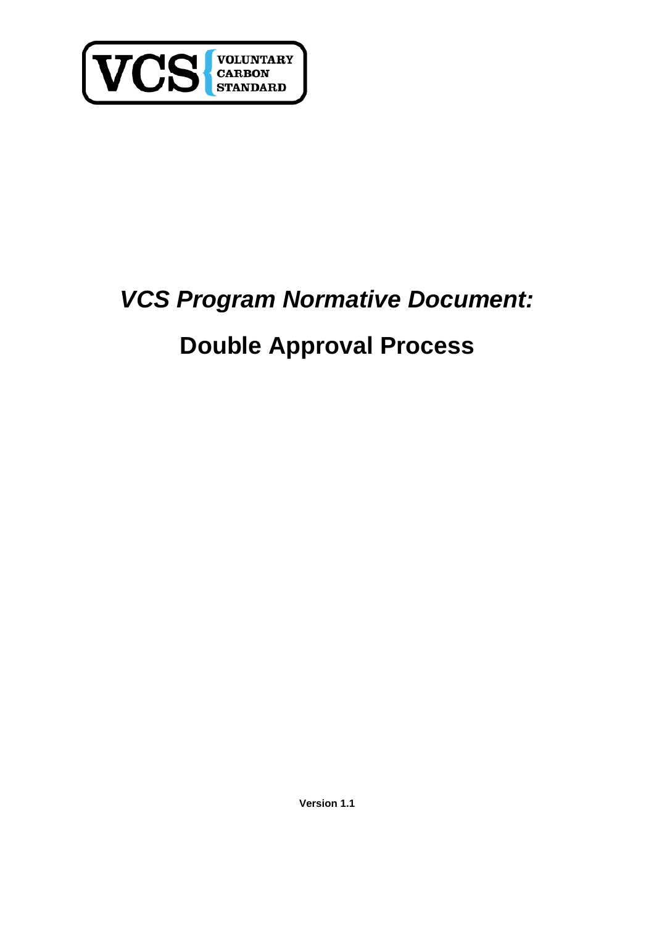

## *VCS Program Normative Document:*

## **Double Approval Process**

**Version 1.1**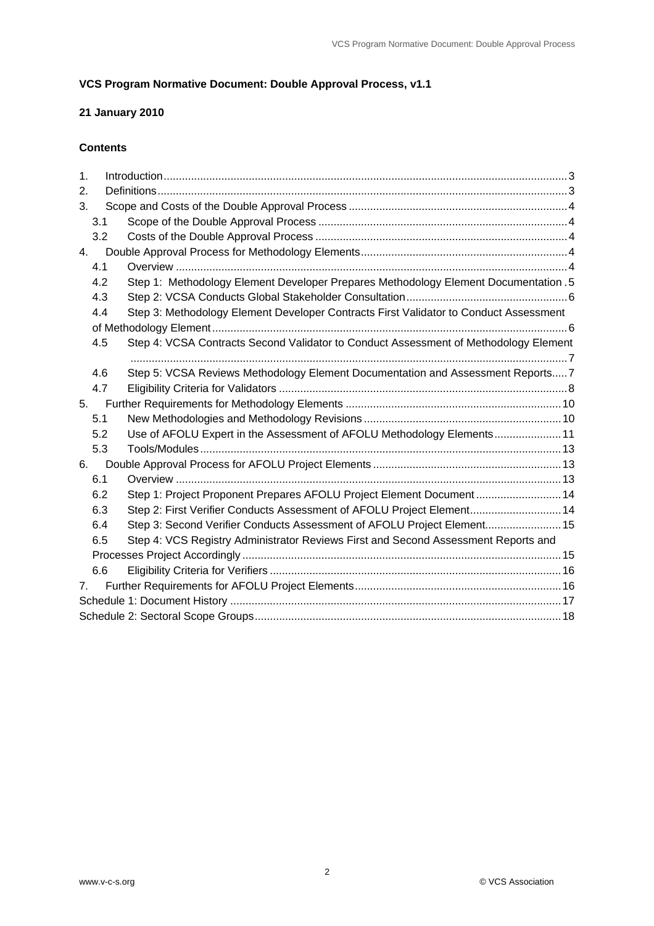#### **VCS Program Normative Document: Double Approval Process, v1.1**

#### **21 January 2010**

#### **Contents**

| $\mathbf 1$ .  |     |                                                                                       |  |  |  |  |
|----------------|-----|---------------------------------------------------------------------------------------|--|--|--|--|
| 2.             |     |                                                                                       |  |  |  |  |
| 3.             |     |                                                                                       |  |  |  |  |
|                | 3.1 |                                                                                       |  |  |  |  |
|                | 3.2 |                                                                                       |  |  |  |  |
| 4.             |     |                                                                                       |  |  |  |  |
|                | 4.1 |                                                                                       |  |  |  |  |
|                | 4.2 | Step 1: Methodology Element Developer Prepares Methodology Element Documentation .5   |  |  |  |  |
|                | 4.3 |                                                                                       |  |  |  |  |
|                | 4.4 | Step 3: Methodology Element Developer Contracts First Validator to Conduct Assessment |  |  |  |  |
|                |     |                                                                                       |  |  |  |  |
|                | 4.5 | Step 4: VCSA Contracts Second Validator to Conduct Assessment of Methodology Element  |  |  |  |  |
|                |     |                                                                                       |  |  |  |  |
|                | 4.6 | Step 5: VCSA Reviews Methodology Element Documentation and Assessment Reports7        |  |  |  |  |
|                | 4.7 |                                                                                       |  |  |  |  |
| 5.             |     |                                                                                       |  |  |  |  |
|                | 5.1 |                                                                                       |  |  |  |  |
|                | 5.2 | Use of AFOLU Expert in the Assessment of AFOLU Methodology Elements 11                |  |  |  |  |
|                | 5.3 |                                                                                       |  |  |  |  |
| 6.             |     |                                                                                       |  |  |  |  |
|                | 6.1 |                                                                                       |  |  |  |  |
|                | 6.2 | Step 1: Project Proponent Prepares AFOLU Project Element Document 14                  |  |  |  |  |
|                | 6.3 | Step 2: First Verifier Conducts Assessment of AFOLU Project Element 14                |  |  |  |  |
|                | 6.4 | Step 3: Second Verifier Conducts Assessment of AFOLU Project Element 15               |  |  |  |  |
|                | 6.5 | Step 4: VCS Registry Administrator Reviews First and Second Assessment Reports and    |  |  |  |  |
|                |     |                                                                                       |  |  |  |  |
|                | 6.6 |                                                                                       |  |  |  |  |
| 7 <sub>1</sub> |     |                                                                                       |  |  |  |  |
|                |     |                                                                                       |  |  |  |  |
|                |     |                                                                                       |  |  |  |  |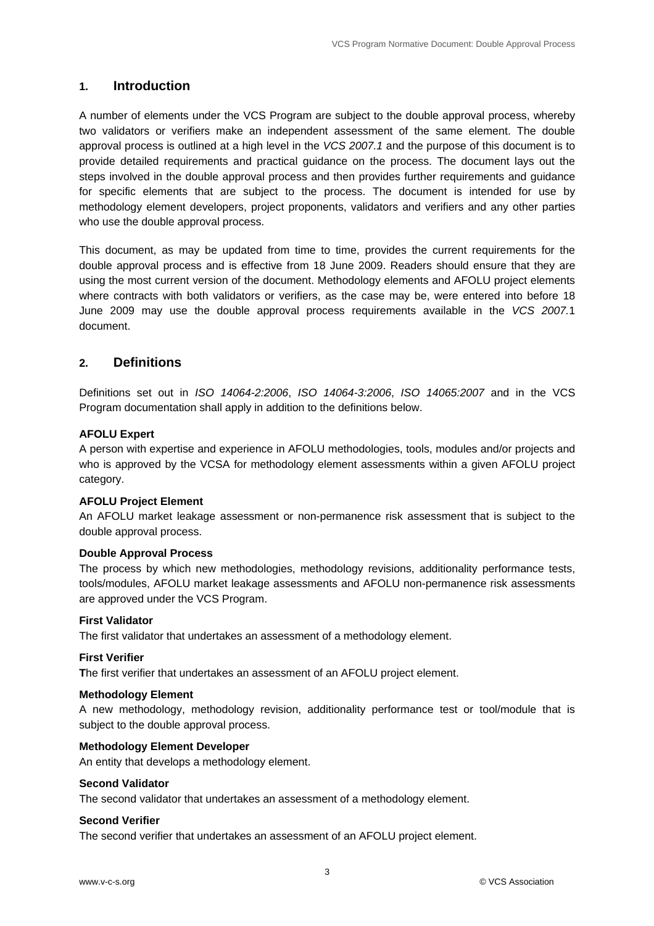#### **1. Introduction**

A number of elements under the VCS Program are subject to the double approval process, whereby two validators or verifiers make an independent assessment of the same element. The double approval process is outlined at a high level in the *VCS 2007.1* and the purpose of this document is to provide detailed requirements and practical guidance on the process. The document lays out the steps involved in the double approval process and then provides further requirements and guidance for specific elements that are subject to the process. The document is intended for use by methodology element developers, project proponents, validators and verifiers and any other parties who use the double approval process.

This document, as may be updated from time to time, provides the current requirements for the double approval process and is effective from 18 June 2009. Readers should ensure that they are using the most current version of the document. Methodology elements and AFOLU project elements where contracts with both validators or verifiers, as the case may be, were entered into before 18 June 2009 may use the double approval process requirements available in the *VCS 2007.*1 document.

#### **2. Definitions**

Definitions set out in *ISO 14064-2:2006*, *ISO 14064-3:2006*, *ISO 14065:2007* and in the VCS Program documentation shall apply in addition to the definitions below.

#### **AFOLU Expert**

A person with expertise and experience in AFOLU methodologies, tools, modules and/or projects and who is approved by the VCSA for methodology element assessments within a given AFOLU project category.

#### **AFOLU Project Element**

An AFOLU market leakage assessment or non-permanence risk assessment that is subject to the double approval process.

#### **Double Approval Process**

The process by which new methodologies, methodology revisions, additionality performance tests, tools/modules, AFOLU market leakage assessments and AFOLU non-permanence risk assessments are approved under the VCS Program.

#### **First Validator**

The first validator that undertakes an assessment of a methodology element.

#### **First Verifier**

**T**he first verifier that undertakes an assessment of an AFOLU project element.

#### **Methodology Element**

A new methodology, methodology revision, additionality performance test or tool/module that is subject to the double approval process.

#### **Methodology Element Developer**

An entity that develops a methodology element.

#### **Second Validator**

The second validator that undertakes an assessment of a methodology element.

#### **Second Verifier**

The second verifier that undertakes an assessment of an AFOLU project element.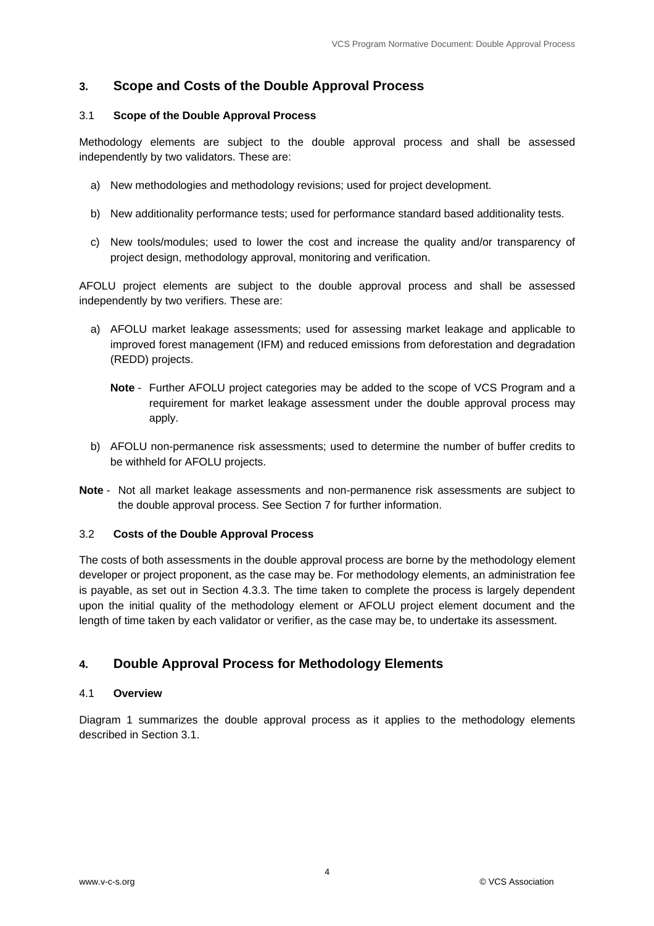#### **3. Scope and Costs of the Double Approval Process**

#### 3.1 **Scope of the Double Approval Process**

Methodology elements are subject to the double approval process and shall be assessed independently by two validators. These are:

- a) New methodologies and methodology revisions; used for project development.
- b) New additionality performance tests; used for performance standard based additionality tests.
- c) New tools/modules; used to lower the cost and increase the quality and/or transparency of project design, methodology approval, monitoring and verification.

AFOLU project elements are subject to the double approval process and shall be assessed independently by two verifiers. These are:

- a) AFOLU market leakage assessments; used for assessing market leakage and applicable to improved forest management (IFM) and reduced emissions from deforestation and degradation (REDD) projects.
	- **Note** Further AFOLU project categories may be added to the scope of VCS Program and a requirement for market leakage assessment under the double approval process may apply.
- b) AFOLU non-permanence risk assessments; used to determine the number of buffer credits to be withheld for AFOLU projects.
- **Note** Not all market leakage assessments and non-permanence risk assessments are subject to the double approval process. See Section 7 for further information.

#### 3.2 **Costs of the Double Approval Process**

The costs of both assessments in the double approval process are borne by the methodology element developer or project proponent, as the case may be. For methodology elements, an administration fee is payable, as set out in Section 4.3.3. The time taken to complete the process is largely dependent upon the initial quality of the methodology element or AFOLU project element document and the length of time taken by each validator or verifier, as the case may be, to undertake its assessment.

#### **4. Double Approval Process for Methodology Elements**

#### 4.1 **Overview**

Diagram 1 summarizes the double approval process as it applies to the methodology elements described in Section 3.1.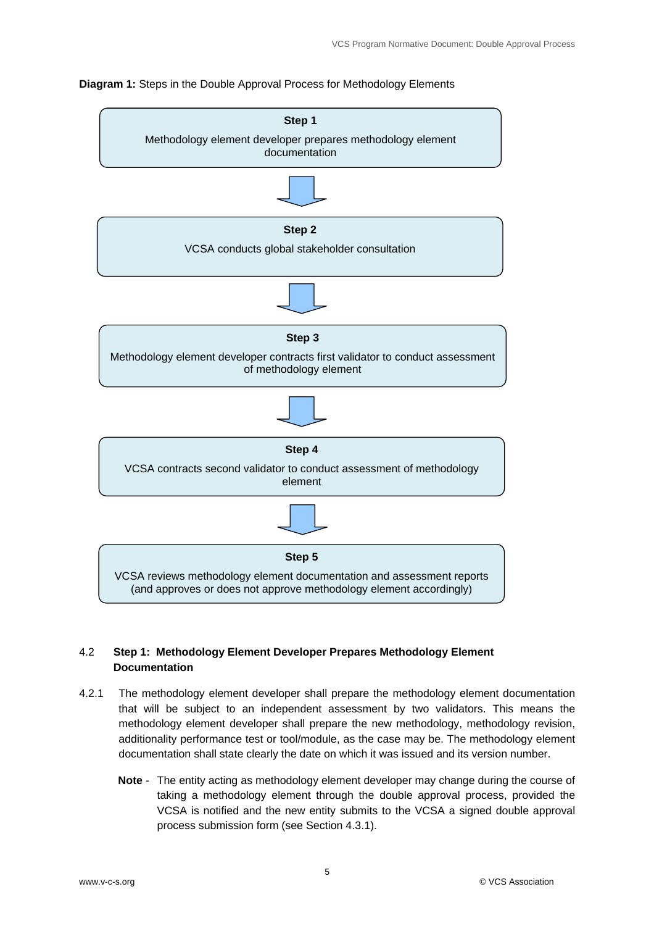# **Step 1**  Methodology element developer prepares methodology element documentation **Step 2**  VCSA conducts global stakeholder consultation **Step 3**  Methodology element developer contracts first validator to conduct assessment of methodology element **Step 4**  VCSA contracts second validator to conduct assessment of methodology element **Step 5**  VCSA reviews methodology element documentation and assessment reports (and approves or does not approve methodology element accordingly)

#### **Diagram 1:** Steps in the Double Approval Process for Methodology Elements

#### 4.2 **Step 1: Methodology Element Developer Prepares Methodology Element Documentation**

- 4.2.1 The methodology element developer shall prepare the methodology element documentation that will be subject to an independent assessment by two validators. This means the methodology element developer shall prepare the new methodology, methodology revision, additionality performance test or tool/module, as the case may be. The methodology element documentation shall state clearly the date on which it was issued and its version number.
	- **Note** The entity acting as methodology element developer may change during the course of taking a methodology element through the double approval process, provided the VCSA is notified and the new entity submits to the VCSA a signed double approval process submission form (see Section 4.3.1).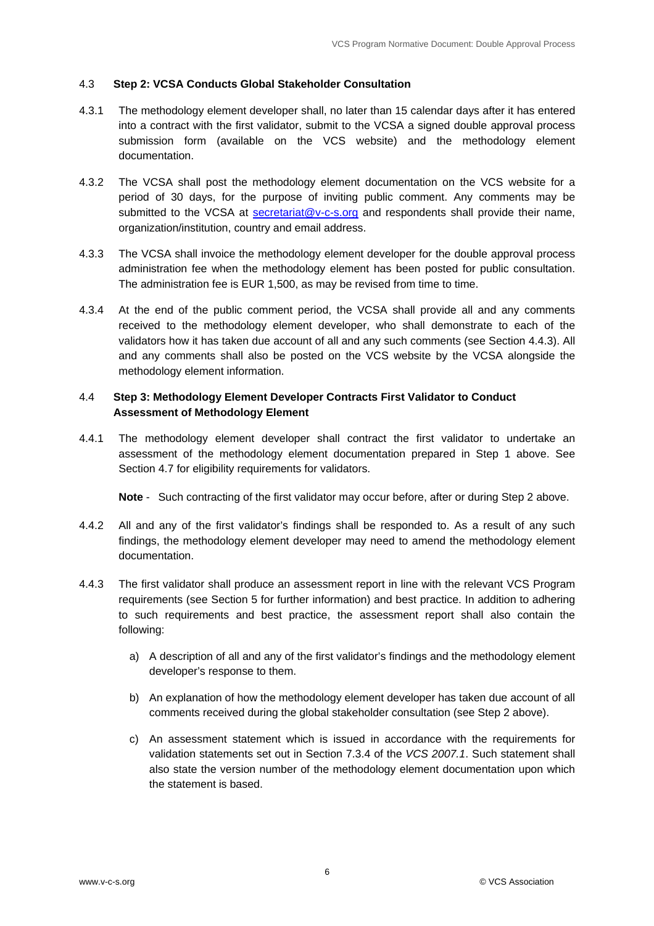#### 4.3 **Step 2: VCSA Conducts Global Stakeholder Consultation**

- 4.3.1 The methodology element developer shall, no later than 15 calendar days after it has entered into a contract with the first validator, submit to the VCSA a signed double approval process submission form (available on the VCS website) and the methodology element documentation.
- 4.3.2 The VCSA shall post the methodology element documentation on the VCS website for a period of 30 days, for the purpose of inviting public comment. Any comments may be submitted to the VCSA at secretariat@v-c-s.org and respondents shall provide their name, organization/institution, country and email address.
- 4.3.3 The VCSA shall invoice the methodology element developer for the double approval process administration fee when the methodology element has been posted for public consultation. The administration fee is EUR 1,500, as may be revised from time to time.
- 4.3.4 At the end of the public comment period, the VCSA shall provide all and any comments received to the methodology element developer, who shall demonstrate to each of the validators how it has taken due account of all and any such comments (see Section 4.4.3). All and any comments shall also be posted on the VCS website by the VCSA alongside the methodology element information.

#### 4.4 **Step 3: Methodology Element Developer Contracts First Validator to Conduct Assessment of Methodology Element**

4.4.1 The methodology element developer shall contract the first validator to undertake an assessment of the methodology element documentation prepared in Step 1 above. See Section 4.7 for eligibility requirements for validators.

**Note** - Such contracting of the first validator may occur before, after or during Step 2 above.

- 4.4.2 All and any of the first validator's findings shall be responded to. As a result of any such findings, the methodology element developer may need to amend the methodology element documentation.
- 4.4.3 The first validator shall produce an assessment report in line with the relevant VCS Program requirements (see Section 5 for further information) and best practice. In addition to adhering to such requirements and best practice, the assessment report shall also contain the following:
	- a) A description of all and any of the first validator's findings and the methodology element developer's response to them.
	- b) An explanation of how the methodology element developer has taken due account of all comments received during the global stakeholder consultation (see Step 2 above).
	- c) An assessment statement which is issued in accordance with the requirements for validation statements set out in Section 7.3.4 of the *VCS 2007.1*. Such statement shall also state the version number of the methodology element documentation upon which the statement is based.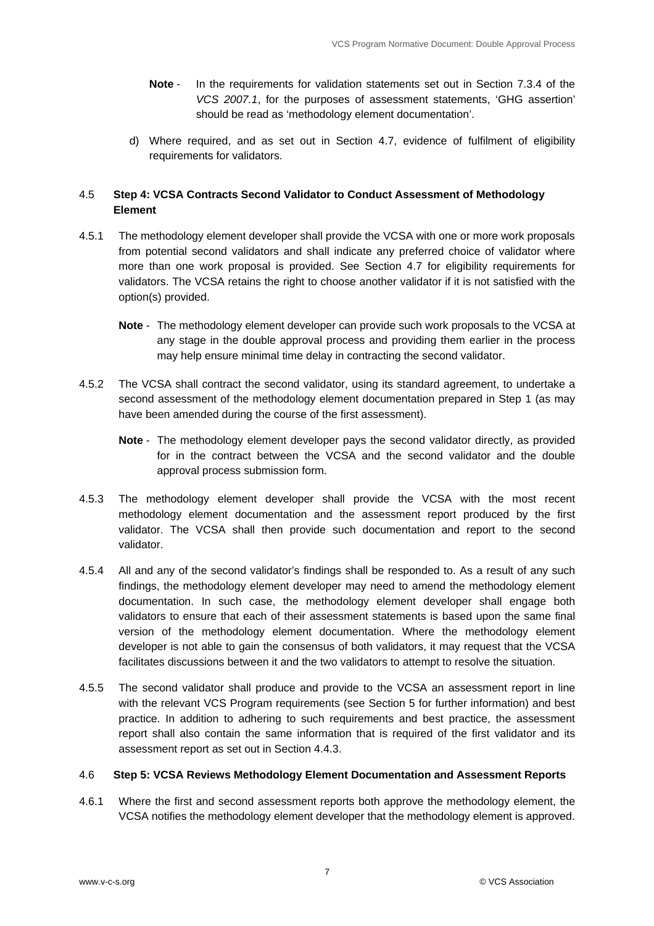- **Note** In the requirements for validation statements set out in Section 7.3.4 of the *VCS 2007.1*, for the purposes of assessment statements, 'GHG assertion' should be read as 'methodology element documentation'.
- d) Where required, and as set out in Section 4.7, evidence of fulfilment of eligibility requirements for validators.

#### 4.5 **Step 4: VCSA Contracts Second Validator to Conduct Assessment of Methodology Element**

- 4.5.1 The methodology element developer shall provide the VCSA with one or more work proposals from potential second validators and shall indicate any preferred choice of validator where more than one work proposal is provided. See Section 4.7 for eligibility requirements for validators. The VCSA retains the right to choose another validator if it is not satisfied with the option(s) provided.
	- **Note** The methodology element developer can provide such work proposals to the VCSA at any stage in the double approval process and providing them earlier in the process may help ensure minimal time delay in contracting the second validator.
- 4.5.2 The VCSA shall contract the second validator, using its standard agreement, to undertake a second assessment of the methodology element documentation prepared in Step 1 (as may have been amended during the course of the first assessment).
	- **Note** The methodology element developer pays the second validator directly, as provided for in the contract between the VCSA and the second validator and the double approval process submission form.
- 4.5.3 The methodology element developer shall provide the VCSA with the most recent methodology element documentation and the assessment report produced by the first validator. The VCSA shall then provide such documentation and report to the second validator.
- 4.5.4 All and any of the second validator's findings shall be responded to. As a result of any such findings, the methodology element developer may need to amend the methodology element documentation. In such case, the methodology element developer shall engage both validators to ensure that each of their assessment statements is based upon the same final version of the methodology element documentation. Where the methodology element developer is not able to gain the consensus of both validators, it may request that the VCSA facilitates discussions between it and the two validators to attempt to resolve the situation.
- 4.5.5 The second validator shall produce and provide to the VCSA an assessment report in line with the relevant VCS Program requirements (see Section 5 for further information) and best practice. In addition to adhering to such requirements and best practice, the assessment report shall also contain the same information that is required of the first validator and its assessment report as set out in Section 4.4.3.

#### 4.6 **Step 5: VCSA Reviews Methodology Element Documentation and Assessment Reports**

4.6.1 Where the first and second assessment reports both approve the methodology element, the VCSA notifies the methodology element developer that the methodology element is approved.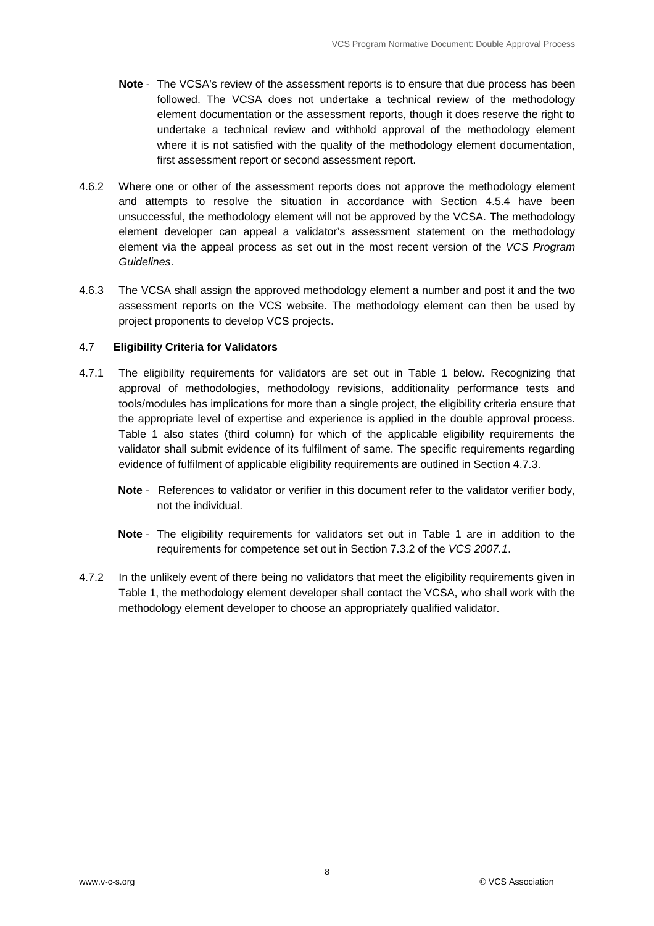- **Note** The VCSA's review of the assessment reports is to ensure that due process has been followed. The VCSA does not undertake a technical review of the methodology element documentation or the assessment reports, though it does reserve the right to undertake a technical review and withhold approval of the methodology element where it is not satisfied with the quality of the methodology element documentation, first assessment report or second assessment report.
- 4.6.2 Where one or other of the assessment reports does not approve the methodology element and attempts to resolve the situation in accordance with Section 4.5.4 have been unsuccessful, the methodology element will not be approved by the VCSA. The methodology element developer can appeal a validator's assessment statement on the methodology element via the appeal process as set out in the most recent version of the *VCS Program Guidelines*.
- 4.6.3 The VCSA shall assign the approved methodology element a number and post it and the two assessment reports on the VCS website. The methodology element can then be used by project proponents to develop VCS projects.

#### 4.7 **Eligibility Criteria for Validators**

- 4.7.1 The eligibility requirements for validators are set out in Table 1 below. Recognizing that approval of methodologies, methodology revisions, additionality performance tests and tools/modules has implications for more than a single project, the eligibility criteria ensure that the appropriate level of expertise and experience is applied in the double approval process. Table 1 also states (third column) for which of the applicable eligibility requirements the validator shall submit evidence of its fulfilment of same. The specific requirements regarding evidence of fulfilment of applicable eligibility requirements are outlined in Section 4.7.3.
	- **Note** References to validator or verifier in this document refer to the validator verifier body, not the individual.
	- **Note** The eligibility requirements for validators set out in Table 1 are in addition to the requirements for competence set out in Section 7.3.2 of the *VCS 2007.1*.
- 4.7.2 In the unlikely event of there being no validators that meet the eligibility requirements given in Table 1, the methodology element developer shall contact the VCSA, who shall work with the methodology element developer to choose an appropriately qualified validator.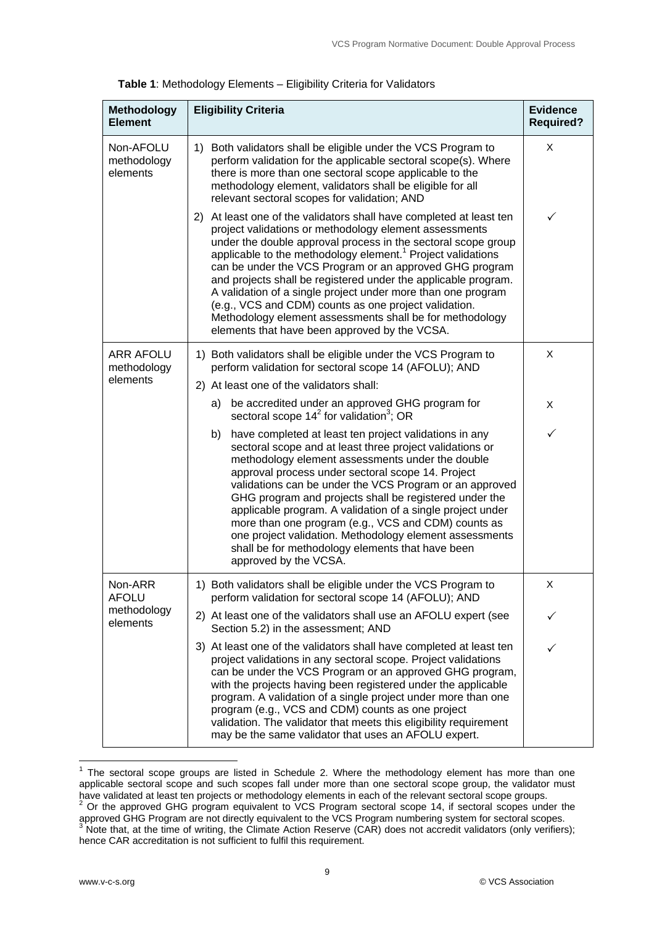| <b>Methodology</b><br><b>Element</b> | <b>Eligibility Criteria</b>                                                                                                                                                                                                                                                                                                                                                                                                                                                                                                                                                                                                                  | <b>Evidence</b><br><b>Required?</b> |
|--------------------------------------|----------------------------------------------------------------------------------------------------------------------------------------------------------------------------------------------------------------------------------------------------------------------------------------------------------------------------------------------------------------------------------------------------------------------------------------------------------------------------------------------------------------------------------------------------------------------------------------------------------------------------------------------|-------------------------------------|
| Non-AFOLU<br>methodology<br>elements | 1) Both validators shall be eligible under the VCS Program to<br>perform validation for the applicable sectoral scope(s). Where<br>there is more than one sectoral scope applicable to the<br>methodology element, validators shall be eligible for all<br>relevant sectoral scopes for validation; AND                                                                                                                                                                                                                                                                                                                                      | X                                   |
|                                      | 2) At least one of the validators shall have completed at least ten<br>project validations or methodology element assessments<br>under the double approval process in the sectoral scope group<br>applicable to the methodology element. <sup>1</sup> Project validations<br>can be under the VCS Program or an approved GHG program<br>and projects shall be registered under the applicable program.<br>A validation of a single project under more than one program<br>(e.g., VCS and CDM) counts as one project validation.<br>Methodology element assessments shall be for methodology<br>elements that have been approved by the VCSA. | ✓                                   |
| ARR AFOLU<br>methodology             | 1) Both validators shall be eligible under the VCS Program to<br>perform validation for sectoral scope 14 (AFOLU); AND                                                                                                                                                                                                                                                                                                                                                                                                                                                                                                                       | X                                   |
| elements                             | 2) At least one of the validators shall:                                                                                                                                                                                                                                                                                                                                                                                                                                                                                                                                                                                                     |                                     |
|                                      | be accredited under an approved GHG program for<br>a)<br>sectoral scope $142$ for validation <sup>3</sup> ; OR                                                                                                                                                                                                                                                                                                                                                                                                                                                                                                                               | X                                   |
|                                      | have completed at least ten project validations in any<br>b)<br>sectoral scope and at least three project validations or<br>methodology element assessments under the double<br>approval process under sectoral scope 14. Project<br>validations can be under the VCS Program or an approved<br>GHG program and projects shall be registered under the<br>applicable program. A validation of a single project under<br>more than one program (e.g., VCS and CDM) counts as<br>one project validation. Methodology element assessments<br>shall be for methodology elements that have been<br>approved by the VCSA.                          | ✓                                   |
| Non-ARR<br><b>AFOLU</b>              | 1) Both validators shall be eligible under the VCS Program to<br>perform validation for sectoral scope 14 (AFOLU); AND                                                                                                                                                                                                                                                                                                                                                                                                                                                                                                                       | X                                   |
| methodology<br>elements              | 2) At least one of the validators shall use an AFOLU expert (see<br>Section 5.2) in the assessment; AND                                                                                                                                                                                                                                                                                                                                                                                                                                                                                                                                      | ✓                                   |
|                                      | 3) At least one of the validators shall have completed at least ten<br>project validations in any sectoral scope. Project validations<br>can be under the VCS Program or an approved GHG program,<br>with the projects having been registered under the applicable<br>program. A validation of a single project under more than one<br>program (e.g., VCS and CDM) counts as one project<br>validation. The validator that meets this eligibility requirement<br>may be the same validator that uses an AFOLU expert.                                                                                                                        | ✓                                   |

THE SECT 2012 CONDET 2012 THE SECT 2012 CONDET 1 The sectoral scope groups are than one<br>The sectoral scope groups are listed in Schedule 2. Where the methodology element has more than one applicable sectoral scope and such scopes fall under more than one sectoral scope group, the validator must have validated at least ten projects or methodology elements in each of the relevant sectoral scope groups.<br><sup>2</sup> Or the approved GHG program equivalent to VCS Program sectoral scope 14, if sectoral scopes under the approved GHG Program are not directly equivalent to the VCS Program numbering system for sectoral scopes.<br><sup>3</sup> Note that, at the time of writing, the Climate Action Reserve (CAR) does not accredit validators (only verifiers hence CAR accreditation is not sufficient to fulfil this requirement.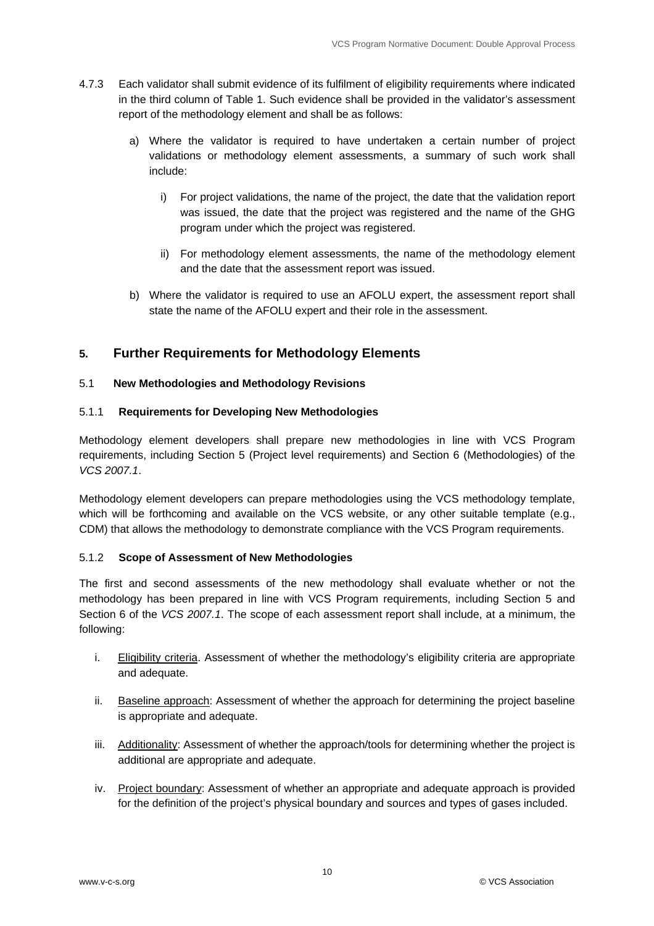- 4.7.3 Each validator shall submit evidence of its fulfilment of eligibility requirements where indicated in the third column of Table 1. Such evidence shall be provided in the validator's assessment report of the methodology element and shall be as follows:
	- a) Where the validator is required to have undertaken a certain number of project validations or methodology element assessments, a summary of such work shall include:
		- i) For project validations, the name of the project, the date that the validation report was issued, the date that the project was registered and the name of the GHG program under which the project was registered.
		- ii) For methodology element assessments, the name of the methodology element and the date that the assessment report was issued.
	- b) Where the validator is required to use an AFOLU expert, the assessment report shall state the name of the AFOLU expert and their role in the assessment.

#### **5. Further Requirements for Methodology Elements**

#### 5.1 **New Methodologies and Methodology Revisions**

#### 5.1.1 **Requirements for Developing New Methodologies**

Methodology element developers shall prepare new methodologies in line with VCS Program requirements, including Section 5 (Project level requirements) and Section 6 (Methodologies) of the *VCS 2007.1*.

Methodology element developers can prepare methodologies using the VCS methodology template, which will be forthcoming and available on the VCS website, or any other suitable template (e.g., CDM) that allows the methodology to demonstrate compliance with the VCS Program requirements.

#### 5.1.2 **Scope of Assessment of New Methodologies**

The first and second assessments of the new methodology shall evaluate whether or not the methodology has been prepared in line with VCS Program requirements, including Section 5 and Section 6 of the *VCS 2007.1*. The scope of each assessment report shall include, at a minimum, the following:

- i. Eligibility criteria. Assessment of whether the methodology's eligibility criteria are appropriate and adequate.
- ii. Baseline approach: Assessment of whether the approach for determining the project baseline is appropriate and adequate.
- iii. Additionality: Assessment of whether the approach/tools for determining whether the project is additional are appropriate and adequate.
- iv. Project boundary: Assessment of whether an appropriate and adequate approach is provided for the definition of the project's physical boundary and sources and types of gases included.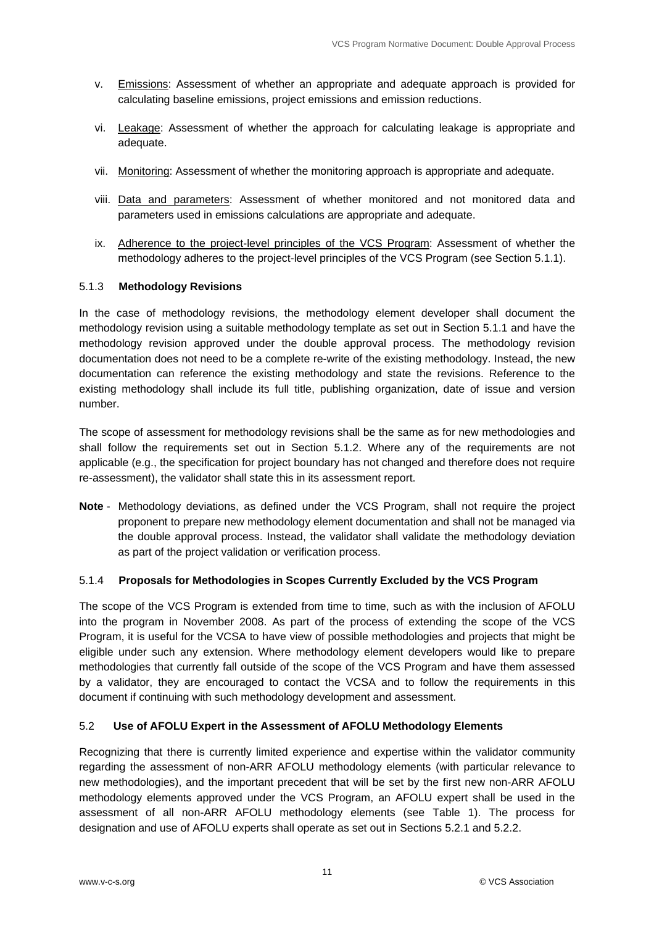- v. Emissions: Assessment of whether an appropriate and adequate approach is provided for calculating baseline emissions, project emissions and emission reductions.
- vi. Leakage: Assessment of whether the approach for calculating leakage is appropriate and adequate.
- vii. Monitoring: Assessment of whether the monitoring approach is appropriate and adequate.
- viii. Data and parameters: Assessment of whether monitored and not monitored data and parameters used in emissions calculations are appropriate and adequate.
- ix. Adherence to the project-level principles of the VCS Program: Assessment of whether the methodology adheres to the project-level principles of the VCS Program (see Section 5.1.1).

#### 5.1.3 **Methodology Revisions**

In the case of methodology revisions, the methodology element developer shall document the methodology revision using a suitable methodology template as set out in Section 5.1.1 and have the methodology revision approved under the double approval process. The methodology revision documentation does not need to be a complete re-write of the existing methodology. Instead, the new documentation can reference the existing methodology and state the revisions. Reference to the existing methodology shall include its full title, publishing organization, date of issue and version number.

The scope of assessment for methodology revisions shall be the same as for new methodologies and shall follow the requirements set out in Section 5.1.2. Where any of the requirements are not applicable (e.g., the specification for project boundary has not changed and therefore does not require re-assessment), the validator shall state this in its assessment report.

**Note** - Methodology deviations, as defined under the VCS Program, shall not require the project proponent to prepare new methodology element documentation and shall not be managed via the double approval process. Instead, the validator shall validate the methodology deviation as part of the project validation or verification process.

#### 5.1.4 **Proposals for Methodologies in Scopes Currently Excluded by the VCS Program**

The scope of the VCS Program is extended from time to time, such as with the inclusion of AFOLU into the program in November 2008. As part of the process of extending the scope of the VCS Program, it is useful for the VCSA to have view of possible methodologies and projects that might be eligible under such any extension. Where methodology element developers would like to prepare methodologies that currently fall outside of the scope of the VCS Program and have them assessed by a validator, they are encouraged to contact the VCSA and to follow the requirements in this document if continuing with such methodology development and assessment.

#### 5.2 **Use of AFOLU Expert in the Assessment of AFOLU Methodology Elements**

Recognizing that there is currently limited experience and expertise within the validator community regarding the assessment of non-ARR AFOLU methodology elements (with particular relevance to new methodologies), and the important precedent that will be set by the first new non-ARR AFOLU methodology elements approved under the VCS Program, an AFOLU expert shall be used in the assessment of all non-ARR AFOLU methodology elements (see Table 1). The process for designation and use of AFOLU experts shall operate as set out in Sections 5.2.1 and 5.2.2.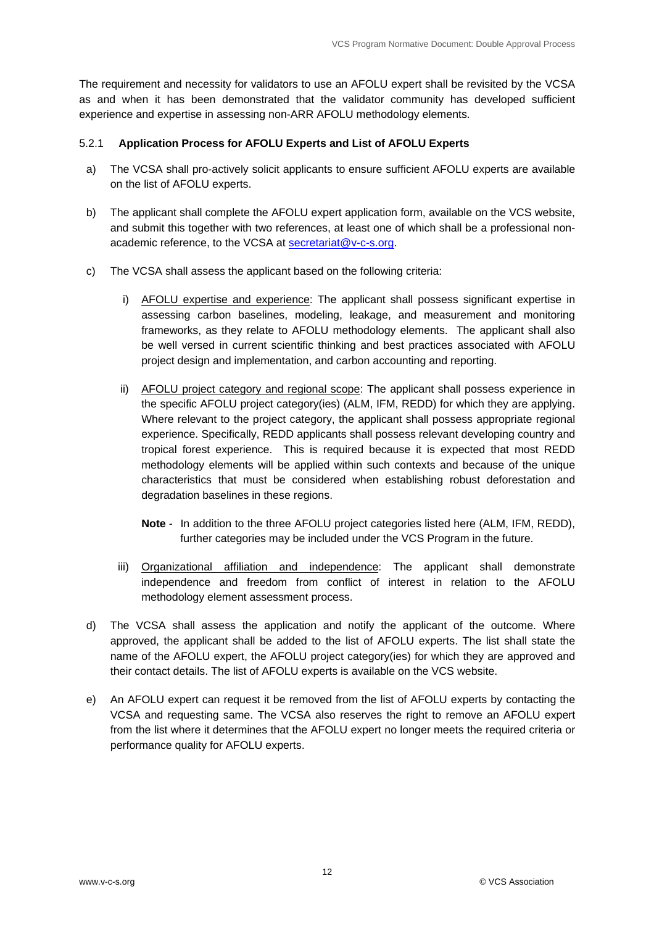The requirement and necessity for validators to use an AFOLU expert shall be revisited by the VCSA as and when it has been demonstrated that the validator community has developed sufficient experience and expertise in assessing non-ARR AFOLU methodology elements.

#### 5.2.1 **Application Process for AFOLU Experts and List of AFOLU Experts**

- a) The VCSA shall pro-actively solicit applicants to ensure sufficient AFOLU experts are available on the list of AFOLU experts.
- b) The applicant shall complete the AFOLU expert application form, available on the VCS website, and submit this together with two references, at least one of which shall be a professional nonacademic reference, to the VCSA at secretariat@v-c-s.org.
- c) The VCSA shall assess the applicant based on the following criteria:
	- i) AFOLU expertise and experience: The applicant shall possess significant expertise in assessing carbon baselines, modeling, leakage, and measurement and monitoring frameworks, as they relate to AFOLU methodology elements. The applicant shall also be well versed in current scientific thinking and best practices associated with AFOLU project design and implementation, and carbon accounting and reporting.
	- ii) AFOLU project category and regional scope: The applicant shall possess experience in the specific AFOLU project category(ies) (ALM, IFM, REDD) for which they are applying. Where relevant to the project category, the applicant shall possess appropriate regional experience. Specifically, REDD applicants shall possess relevant developing country and tropical forest experience. This is required because it is expected that most REDD methodology elements will be applied within such contexts and because of the unique characteristics that must be considered when establishing robust deforestation and degradation baselines in these regions.
		- **Note** In addition to the three AFOLU project categories listed here (ALM, IFM, REDD), further categories may be included under the VCS Program in the future.
	- iii) Organizational affiliation and independence: The applicant shall demonstrate independence and freedom from conflict of interest in relation to the AFOLU methodology element assessment process.
- d) The VCSA shall assess the application and notify the applicant of the outcome. Where approved, the applicant shall be added to the list of AFOLU experts. The list shall state the name of the AFOLU expert, the AFOLU project category(ies) for which they are approved and their contact details. The list of AFOLU experts is available on the VCS website.
- e) An AFOLU expert can request it be removed from the list of AFOLU experts by contacting the VCSA and requesting same. The VCSA also reserves the right to remove an AFOLU expert from the list where it determines that the AFOLU expert no longer meets the required criteria or performance quality for AFOLU experts.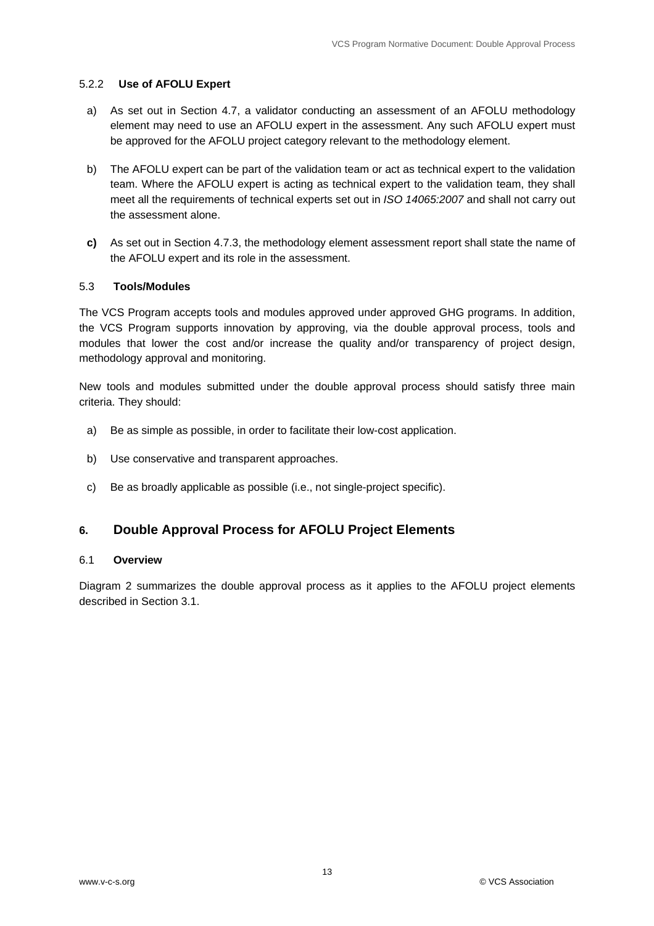#### 5.2.2 **Use of AFOLU Expert**

- a) As set out in Section 4.7, a validator conducting an assessment of an AFOLU methodology element may need to use an AFOLU expert in the assessment. Any such AFOLU expert must be approved for the AFOLU project category relevant to the methodology element.
- b) The AFOLU expert can be part of the validation team or act as technical expert to the validation team. Where the AFOLU expert is acting as technical expert to the validation team, they shall meet all the requirements of technical experts set out in *ISO 14065:2007* and shall not carry out the assessment alone.
- **c)** As set out in Section 4.7.3, the methodology element assessment report shall state the name of the AFOLU expert and its role in the assessment.

#### 5.3 **Tools/Modules**

The VCS Program accepts tools and modules approved under approved GHG programs. In addition, the VCS Program supports innovation by approving, via the double approval process, tools and modules that lower the cost and/or increase the quality and/or transparency of project design, methodology approval and monitoring.

New tools and modules submitted under the double approval process should satisfy three main criteria. They should:

- a) Be as simple as possible, in order to facilitate their low-cost application.
- b) Use conservative and transparent approaches.
- c) Be as broadly applicable as possible (i.e., not single-project specific).

#### **6. Double Approval Process for AFOLU Project Elements**

#### 6.1 **Overview**

Diagram 2 summarizes the double approval process as it applies to the AFOLU project elements described in Section 3.1.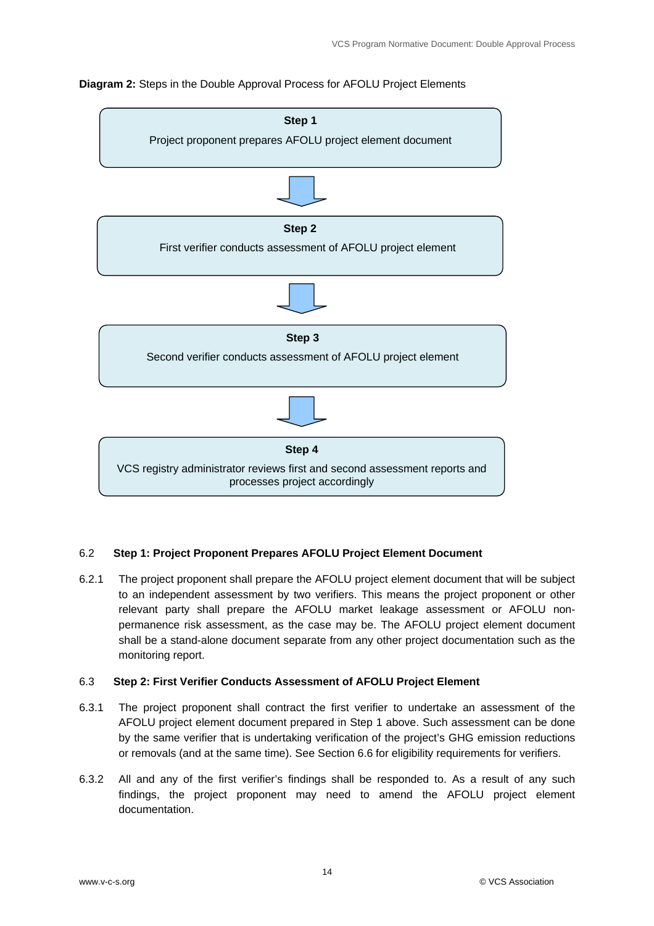#### **Diagram 2:** Steps in the Double Approval Process for AFOLU Project Elements



#### 6.2 **Step 1: Project Proponent Prepares AFOLU Project Element Document**

6.2.1 The project proponent shall prepare the AFOLU project element document that will be subject to an independent assessment by two verifiers. This means the project proponent or other relevant party shall prepare the AFOLU market leakage assessment or AFOLU nonpermanence risk assessment, as the case may be. The AFOLU project element document shall be a stand-alone document separate from any other project documentation such as the monitoring report.

#### 6.3 **Step 2: First Verifier Conducts Assessment of AFOLU Project Element**

- 6.3.1 The project proponent shall contract the first verifier to undertake an assessment of the AFOLU project element document prepared in Step 1 above. Such assessment can be done by the same verifier that is undertaking verification of the project's GHG emission reductions or removals (and at the same time). See Section 6.6 for eligibility requirements for verifiers.
- 6.3.2 All and any of the first verifier's findings shall be responded to. As a result of any such findings, the project proponent may need to amend the AFOLU project element documentation.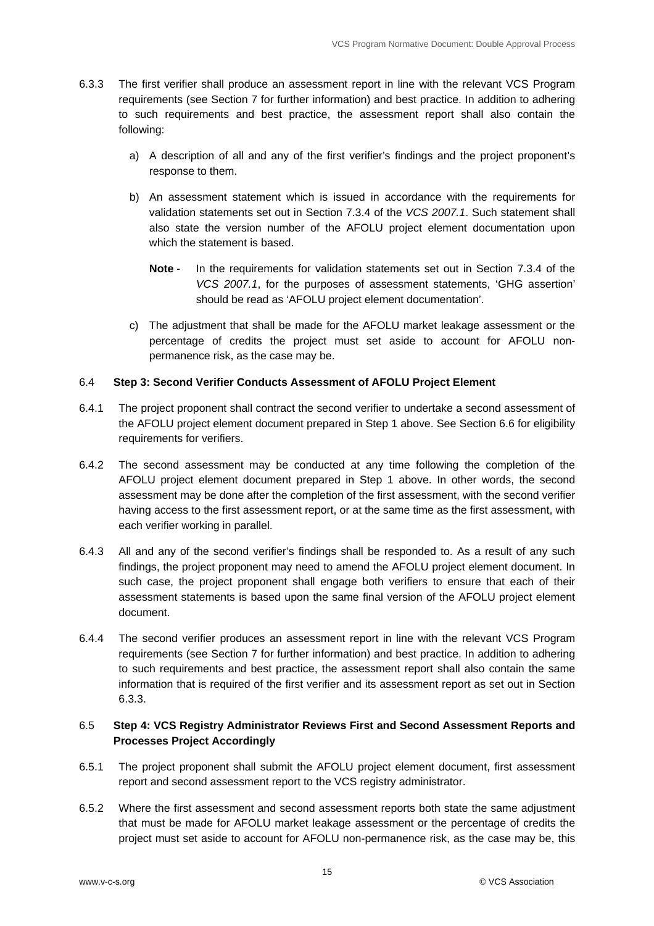- 6.3.3 The first verifier shall produce an assessment report in line with the relevant VCS Program requirements (see Section 7 for further information) and best practice. In addition to adhering to such requirements and best practice, the assessment report shall also contain the following:
	- a) A description of all and any of the first verifier's findings and the project proponent's response to them.
	- b) An assessment statement which is issued in accordance with the requirements for validation statements set out in Section 7.3.4 of the *VCS 2007.1*. Such statement shall also state the version number of the AFOLU project element documentation upon which the statement is based.
		- **Note** In the requirements for validation statements set out in Section 7.3.4 of the *VCS 2007.1*, for the purposes of assessment statements, 'GHG assertion' should be read as 'AFOLU project element documentation'.
	- c) The adjustment that shall be made for the AFOLU market leakage assessment or the percentage of credits the project must set aside to account for AFOLU nonpermanence risk, as the case may be.

#### 6.4 **Step 3: Second Verifier Conducts Assessment of AFOLU Project Element**

- 6.4.1 The project proponent shall contract the second verifier to undertake a second assessment of the AFOLU project element document prepared in Step 1 above. See Section 6.6 for eligibility requirements for verifiers.
- 6.4.2 The second assessment may be conducted at any time following the completion of the AFOLU project element document prepared in Step 1 above. In other words, the second assessment may be done after the completion of the first assessment, with the second verifier having access to the first assessment report, or at the same time as the first assessment, with each verifier working in parallel.
- 6.4.3 All and any of the second verifier's findings shall be responded to. As a result of any such findings, the project proponent may need to amend the AFOLU project element document. In such case, the project proponent shall engage both verifiers to ensure that each of their assessment statements is based upon the same final version of the AFOLU project element document.
- 6.4.4 The second verifier produces an assessment report in line with the relevant VCS Program requirements (see Section 7 for further information) and best practice. In addition to adhering to such requirements and best practice, the assessment report shall also contain the same information that is required of the first verifier and its assessment report as set out in Section 6.3.3.

#### 6.5 **Step 4: VCS Registry Administrator Reviews First and Second Assessment Reports and Processes Project Accordingly**

- 6.5.1 The project proponent shall submit the AFOLU project element document, first assessment report and second assessment report to the VCS registry administrator.
- 6.5.2 Where the first assessment and second assessment reports both state the same adjustment that must be made for AFOLU market leakage assessment or the percentage of credits the project must set aside to account for AFOLU non-permanence risk, as the case may be, this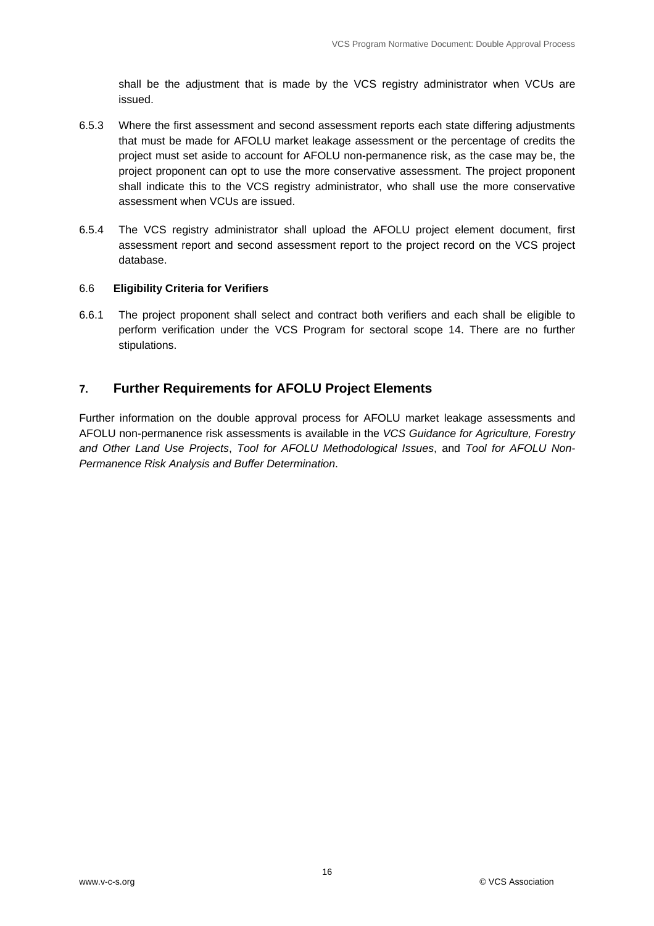shall be the adjustment that is made by the VCS registry administrator when VCUs are issued.

- 6.5.3 Where the first assessment and second assessment reports each state differing adjustments that must be made for AFOLU market leakage assessment or the percentage of credits the project must set aside to account for AFOLU non-permanence risk, as the case may be, the project proponent can opt to use the more conservative assessment. The project proponent shall indicate this to the VCS registry administrator, who shall use the more conservative assessment when VCUs are issued.
- 6.5.4 The VCS registry administrator shall upload the AFOLU project element document, first assessment report and second assessment report to the project record on the VCS project database.

#### 6.6 **Eligibility Criteria for Verifiers**

6.6.1 The project proponent shall select and contract both verifiers and each shall be eligible to perform verification under the VCS Program for sectoral scope 14. There are no further stipulations.

#### **7. Further Requirements for AFOLU Project Elements**

Further information on the double approval process for AFOLU market leakage assessments and AFOLU non-permanence risk assessments is available in the *VCS Guidance for Agriculture, Forestry and Other Land Use Projects*, *Tool for AFOLU Methodological Issues*, and *Tool for AFOLU Non-Permanence Risk Analysis and Buffer Determination*.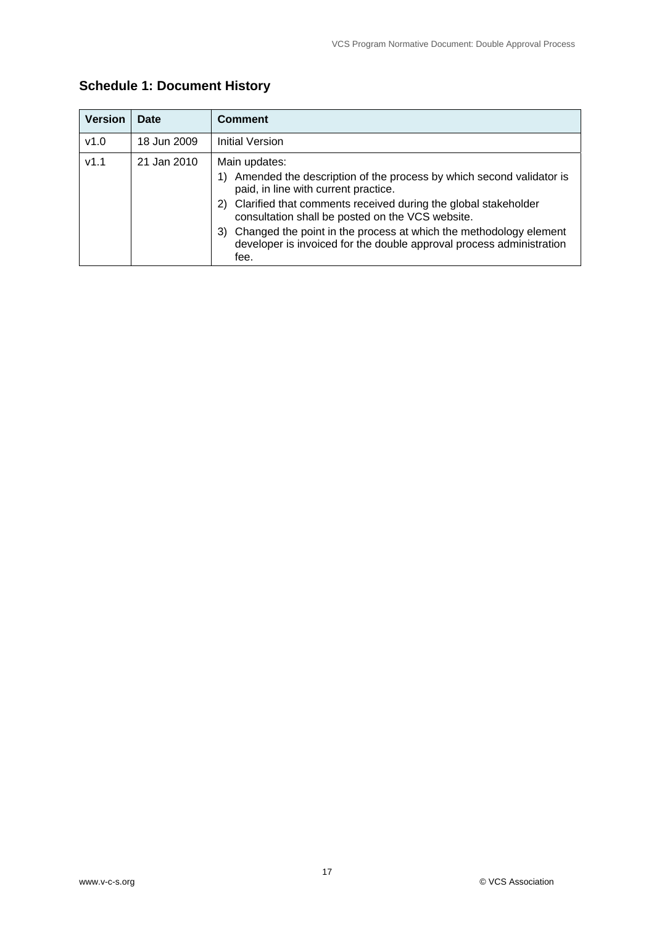| <b>Version</b> | Date        | <b>Comment</b>                                                                                                                                                                                                                                                                                                                                                                                                         |
|----------------|-------------|------------------------------------------------------------------------------------------------------------------------------------------------------------------------------------------------------------------------------------------------------------------------------------------------------------------------------------------------------------------------------------------------------------------------|
| v1.0           | 18 Jun 2009 | Initial Version                                                                                                                                                                                                                                                                                                                                                                                                        |
| V1.1           | 21 Jan 2010 | Main updates:<br>Amended the description of the process by which second validator is<br>1)<br>paid, in line with current practice.<br>2) Clarified that comments received during the global stakeholder<br>consultation shall be posted on the VCS website.<br>Changed the point in the process at which the methodology element<br>3)<br>developer is invoiced for the double approval process administration<br>fee. |

### **Schedule 1: Document History**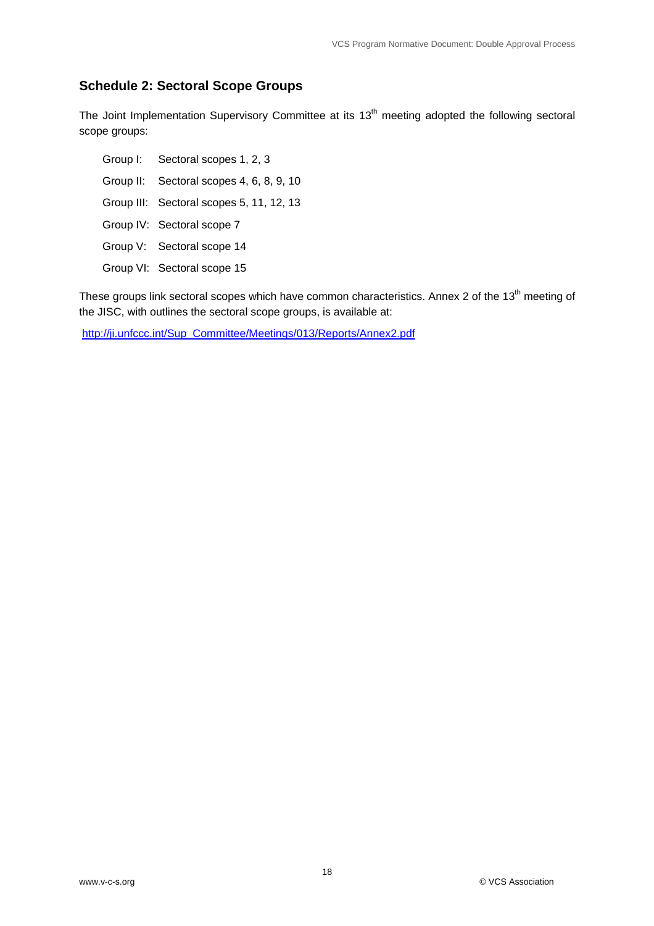#### **Schedule 2: Sectoral Scope Groups**

The Joint Implementation Supervisory Committee at its 13<sup>th</sup> meeting adopted the following sectoral scope groups:

- Group I: Sectoral scopes 1, 2, 3
- Group II: Sectoral scopes 4, 6, 8, 9, 10
- Group III: Sectoral scopes 5, 11, 12, 13
- Group IV: Sectoral scope 7
- Group V: Sectoral scope 14
- Group VI: Sectoral scope 15

These groups link sectoral scopes which have common characteristics. Annex 2 of the 13<sup>th</sup> meeting of the JISC, with outlines the sectoral scope groups, is available at:

http://ji.unfccc.int/Sup\_Committee/Meetings/013/Reports/Annex2.pdf